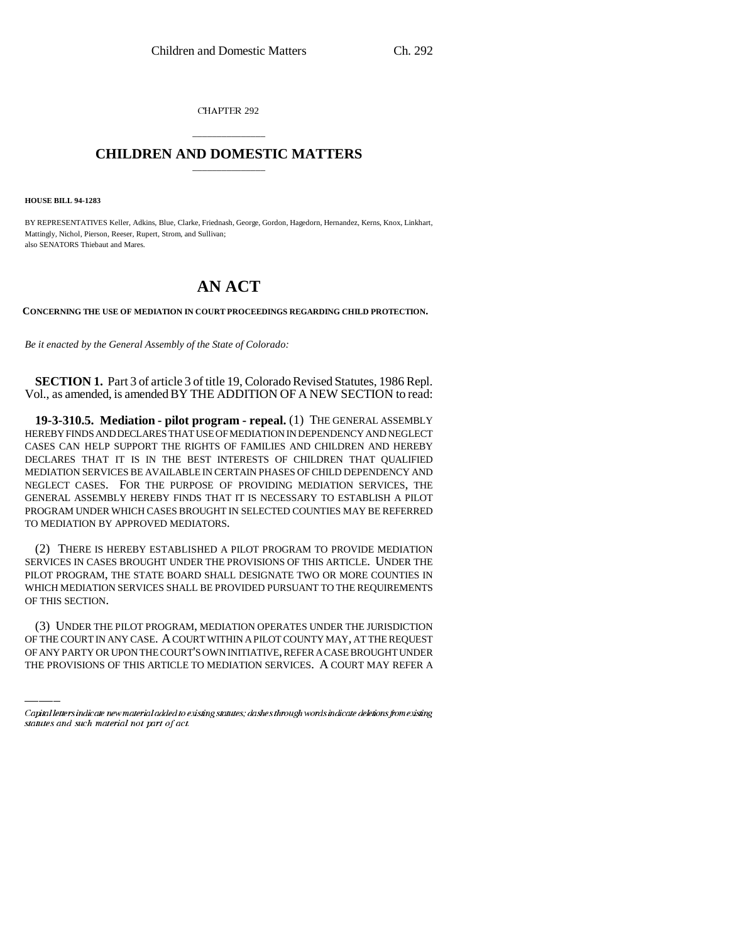CHAPTER 292

## \_\_\_\_\_\_\_\_\_\_\_\_\_\_\_ **CHILDREN AND DOMESTIC MATTERS** \_\_\_\_\_\_\_\_\_\_\_\_\_\_\_

**HOUSE BILL 94-1283**

BY REPRESENTATIVES Keller, Adkins, Blue, Clarke, Friednash, George, Gordon, Hagedorn, Hernandez, Kerns, Knox, Linkhart, Mattingly, Nichol, Pierson, Reeser, Rupert, Strom, and Sullivan; also SENATORS Thiebaut and Mares.

## **AN ACT**

**CONCERNING THE USE OF MEDIATION IN COURT PROCEEDINGS REGARDING CHILD PROTECTION.**

*Be it enacted by the General Assembly of the State of Colorado:*

**SECTION 1.** Part 3 of article 3 of title 19, Colorado Revised Statutes, 1986 Repl. Vol., as amended, is amended BY THE ADDITION OF A NEW SECTION to read:

**19-3-310.5. Mediation - pilot program - repeal.** (1) THE GENERAL ASSEMBLY HEREBY FINDS AND DECLARES THAT USE OF MEDIATION IN DEPENDENCY AND NEGLECT CASES CAN HELP SUPPORT THE RIGHTS OF FAMILIES AND CHILDREN AND HEREBY DECLARES THAT IT IS IN THE BEST INTERESTS OF CHILDREN THAT QUALIFIED MEDIATION SERVICES BE AVAILABLE IN CERTAIN PHASES OF CHILD DEPENDENCY AND NEGLECT CASES. FOR THE PURPOSE OF PROVIDING MEDIATION SERVICES, THE GENERAL ASSEMBLY HEREBY FINDS THAT IT IS NECESSARY TO ESTABLISH A PILOT PROGRAM UNDER WHICH CASES BROUGHT IN SELECTED COUNTIES MAY BE REFERRED TO MEDIATION BY APPROVED MEDIATORS.

(2) THERE IS HEREBY ESTABLISHED A PILOT PROGRAM TO PROVIDE MEDIATION SERVICES IN CASES BROUGHT UNDER THE PROVISIONS OF THIS ARTICLE. UNDER THE PILOT PROGRAM, THE STATE BOARD SHALL DESIGNATE TWO OR MORE COUNTIES IN WHICH MEDIATION SERVICES SHALL BE PROVIDED PURSUANT TO THE REQUIREMENTS OF THIS SECTION.

(3) UNDER THE PILOT PROGRAM, MEDIATION OPERATES UNDER THE JURISDICTION OF THE COURT IN ANY CASE. A COURT WITHIN A PILOT COUNTY MAY, AT THE REQUEST OF ANY PARTY OR UPON THE COURT'S OWN INITIATIVE, REFER A CASE BROUGHT UNDER THE PROVISIONS OF THIS ARTICLE TO MEDIATION SERVICES. A COURT MAY REFER A

Capital letters indicate new material added to existing statutes; dashes through words indicate deletions from existing statutes and such material not part of act.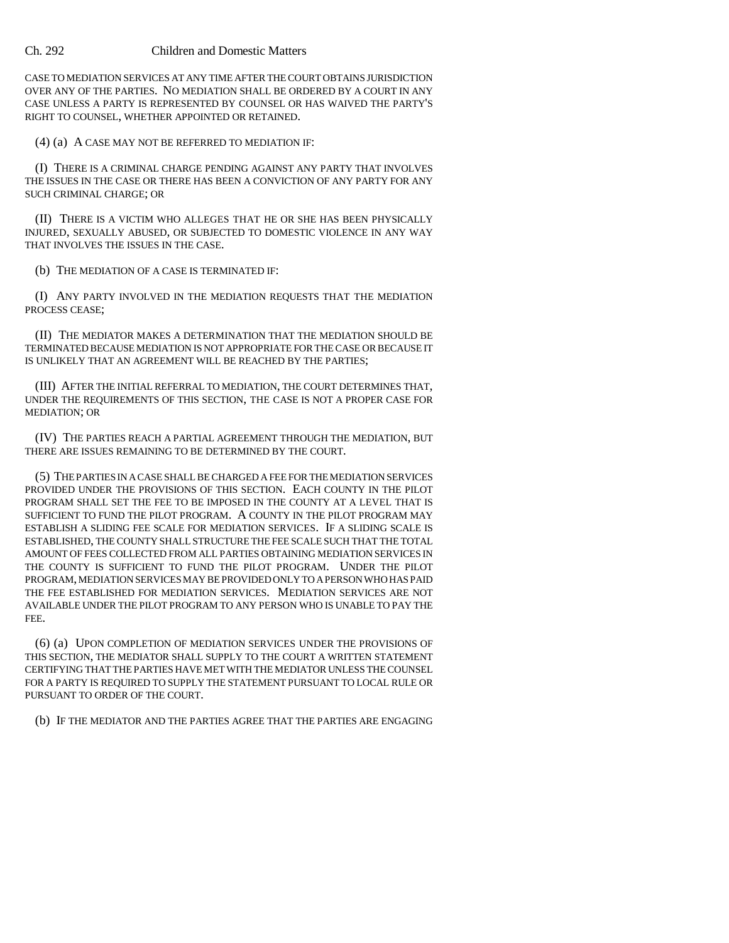## Ch. 292 Children and Domestic Matters

CASE TO MEDIATION SERVICES AT ANY TIME AFTER THE COURT OBTAINS JURISDICTION OVER ANY OF THE PARTIES. NO MEDIATION SHALL BE ORDERED BY A COURT IN ANY CASE UNLESS A PARTY IS REPRESENTED BY COUNSEL OR HAS WAIVED THE PARTY'S RIGHT TO COUNSEL, WHETHER APPOINTED OR RETAINED.

(4) (a) A CASE MAY NOT BE REFERRED TO MEDIATION IF:

(I) THERE IS A CRIMINAL CHARGE PENDING AGAINST ANY PARTY THAT INVOLVES THE ISSUES IN THE CASE OR THERE HAS BEEN A CONVICTION OF ANY PARTY FOR ANY SUCH CRIMINAL CHARGE; OR

(II) THERE IS A VICTIM WHO ALLEGES THAT HE OR SHE HAS BEEN PHYSICALLY INJURED, SEXUALLY ABUSED, OR SUBJECTED TO DOMESTIC VIOLENCE IN ANY WAY THAT INVOLVES THE ISSUES IN THE CASE.

(b) THE MEDIATION OF A CASE IS TERMINATED IF:

(I) ANY PARTY INVOLVED IN THE MEDIATION REQUESTS THAT THE MEDIATION PROCESS CEASE;

(II) THE MEDIATOR MAKES A DETERMINATION THAT THE MEDIATION SHOULD BE TERMINATED BECAUSE MEDIATION IS NOT APPROPRIATE FOR THE CASE OR BECAUSE IT IS UNLIKELY THAT AN AGREEMENT WILL BE REACHED BY THE PARTIES;

(III) AFTER THE INITIAL REFERRAL TO MEDIATION, THE COURT DETERMINES THAT, UNDER THE REQUIREMENTS OF THIS SECTION, THE CASE IS NOT A PROPER CASE FOR MEDIATION; OR

(IV) THE PARTIES REACH A PARTIAL AGREEMENT THROUGH THE MEDIATION, BUT THERE ARE ISSUES REMAINING TO BE DETERMINED BY THE COURT.

(5) THE PARTIES IN A CASE SHALL BE CHARGED A FEE FOR THE MEDIATION SERVICES PROVIDED UNDER THE PROVISIONS OF THIS SECTION. EACH COUNTY IN THE PILOT PROGRAM SHALL SET THE FEE TO BE IMPOSED IN THE COUNTY AT A LEVEL THAT IS SUFFICIENT TO FUND THE PILOT PROGRAM. A COUNTY IN THE PILOT PROGRAM MAY ESTABLISH A SLIDING FEE SCALE FOR MEDIATION SERVICES. IF A SLIDING SCALE IS ESTABLISHED, THE COUNTY SHALL STRUCTURE THE FEE SCALE SUCH THAT THE TOTAL AMOUNT OF FEES COLLECTED FROM ALL PARTIES OBTAINING MEDIATION SERVICES IN THE COUNTY IS SUFFICIENT TO FUND THE PILOT PROGRAM. UNDER THE PILOT PROGRAM, MEDIATION SERVICES MAY BE PROVIDED ONLY TO A PERSON WHO HAS PAID THE FEE ESTABLISHED FOR MEDIATION SERVICES. MEDIATION SERVICES ARE NOT AVAILABLE UNDER THE PILOT PROGRAM TO ANY PERSON WHO IS UNABLE TO PAY THE FEE.

(6) (a) UPON COMPLETION OF MEDIATION SERVICES UNDER THE PROVISIONS OF THIS SECTION, THE MEDIATOR SHALL SUPPLY TO THE COURT A WRITTEN STATEMENT CERTIFYING THAT THE PARTIES HAVE MET WITH THE MEDIATOR UNLESS THE COUNSEL FOR A PARTY IS REQUIRED TO SUPPLY THE STATEMENT PURSUANT TO LOCAL RULE OR PURSUANT TO ORDER OF THE COURT.

(b) IF THE MEDIATOR AND THE PARTIES AGREE THAT THE PARTIES ARE ENGAGING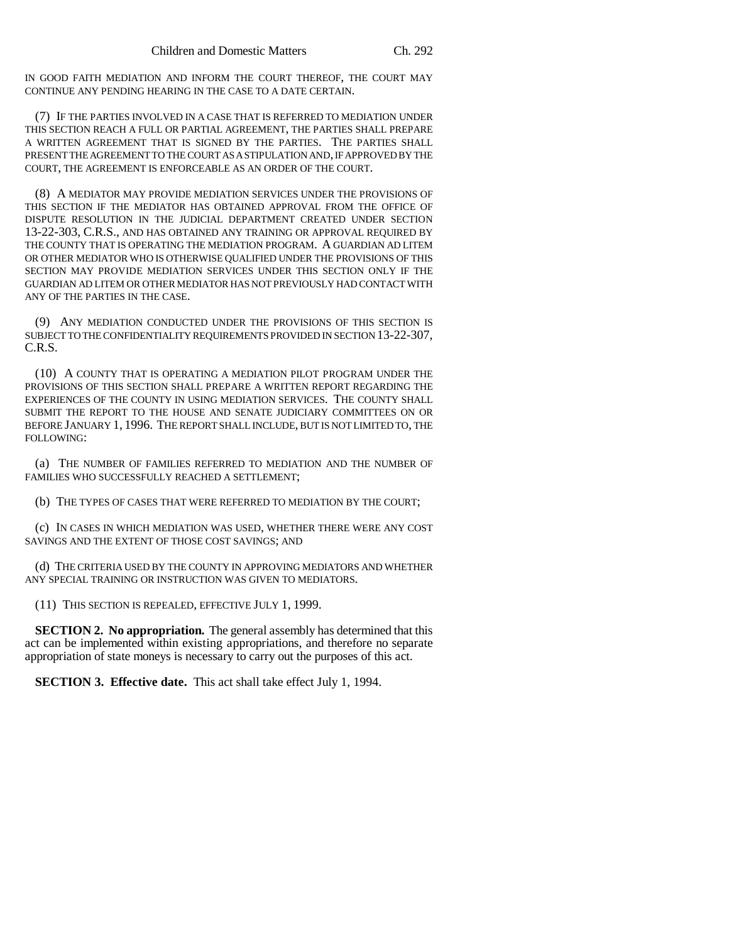IN GOOD FAITH MEDIATION AND INFORM THE COURT THEREOF, THE COURT MAY CONTINUE ANY PENDING HEARING IN THE CASE TO A DATE CERTAIN.

(7) IF THE PARTIES INVOLVED IN A CASE THAT IS REFERRED TO MEDIATION UNDER THIS SECTION REACH A FULL OR PARTIAL AGREEMENT, THE PARTIES SHALL PREPARE A WRITTEN AGREEMENT THAT IS SIGNED BY THE PARTIES. THE PARTIES SHALL PRESENT THE AGREEMENT TO THE COURT AS A STIPULATION AND, IF APPROVED BY THE COURT, THE AGREEMENT IS ENFORCEABLE AS AN ORDER OF THE COURT.

(8) A MEDIATOR MAY PROVIDE MEDIATION SERVICES UNDER THE PROVISIONS OF THIS SECTION IF THE MEDIATOR HAS OBTAINED APPROVAL FROM THE OFFICE OF DISPUTE RESOLUTION IN THE JUDICIAL DEPARTMENT CREATED UNDER SECTION 13-22-303, C.R.S., AND HAS OBTAINED ANY TRAINING OR APPROVAL REQUIRED BY THE COUNTY THAT IS OPERATING THE MEDIATION PROGRAM. A GUARDIAN AD LITEM OR OTHER MEDIATOR WHO IS OTHERWISE QUALIFIED UNDER THE PROVISIONS OF THIS SECTION MAY PROVIDE MEDIATION SERVICES UNDER THIS SECTION ONLY IF THE GUARDIAN AD LITEM OR OTHER MEDIATOR HAS NOT PREVIOUSLY HAD CONTACT WITH ANY OF THE PARTIES IN THE CASE.

(9) ANY MEDIATION CONDUCTED UNDER THE PROVISIONS OF THIS SECTION IS SUBJECT TO THE CONFIDENTIALITY REQUIREMENTS PROVIDED IN SECTION 13-22-307, C.R.S.

(10) A COUNTY THAT IS OPERATING A MEDIATION PILOT PROGRAM UNDER THE PROVISIONS OF THIS SECTION SHALL PREPARE A WRITTEN REPORT REGARDING THE EXPERIENCES OF THE COUNTY IN USING MEDIATION SERVICES. THE COUNTY SHALL SUBMIT THE REPORT TO THE HOUSE AND SENATE JUDICIARY COMMITTEES ON OR BEFORE JANUARY 1, 1996. THE REPORT SHALL INCLUDE, BUT IS NOT LIMITED TO, THE FOLLOWING:

(a) THE NUMBER OF FAMILIES REFERRED TO MEDIATION AND THE NUMBER OF FAMILIES WHO SUCCESSFULLY REACHED A SETTLEMENT;

(b) THE TYPES OF CASES THAT WERE REFERRED TO MEDIATION BY THE COURT;

(c) IN CASES IN WHICH MEDIATION WAS USED, WHETHER THERE WERE ANY COST SAVINGS AND THE EXTENT OF THOSE COST SAVINGS; AND

(d) THE CRITERIA USED BY THE COUNTY IN APPROVING MEDIATORS AND WHETHER ANY SPECIAL TRAINING OR INSTRUCTION WAS GIVEN TO MEDIATORS.

(11) THIS SECTION IS REPEALED, EFFECTIVE JULY 1, 1999.

**SECTION 2. No appropriation.** The general assembly has determined that this act can be implemented within existing appropriations, and therefore no separate appropriation of state moneys is necessary to carry out the purposes of this act.

**SECTION 3. Effective date.** This act shall take effect July 1, 1994.